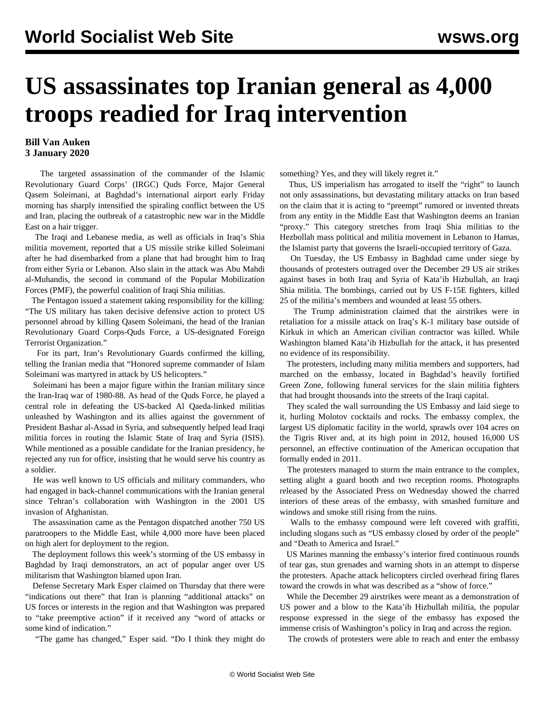## **US assassinates top Iranian general as 4,000 troops readied for Iraq intervention**

## **Bill Van Auken 3 January 2020**

 The targeted assassination of the commander of the Islamic Revolutionary Guard Corps' (IRGC) Quds Force, Major General Qasem Soleimani, at Baghdad's international airport early Friday morning has sharply intensified the spiraling conflict between the US and Iran, placing the outbreak of a catastrophic new war in the Middle East on a hair trigger.

 The Iraqi and Lebanese media, as well as officials in Iraq's Shia militia movement, reported that a US missile strike killed Soleimani after he had disembarked from a plane that had brought him to Iraq from either Syria or Lebanon. Also slain in the attack was Abu Mahdi al-Muhandis, the second in command of the Popular Mobilization Forces (PMF), the powerful coalition of Iraqi Shia militias.

 The Pentagon issued a statement taking responsibility for the killing: "The US military has taken decisive defensive action to protect US personnel abroad by killing Qasem Soleimani, the head of the Iranian Revolutionary Guard Corps-Quds Force, a US-designated Foreign Terrorist Organization."

 For its part, Iran's Revolutionary Guards confirmed the killing, telling the Iranian media that "Honored supreme commander of Islam Soleimani was martyred in attack by US helicopters."

 Soleimani has been a major figure within the Iranian military since the Iran-Iraq war of 1980-88. As head of the Quds Force, he played a central role in defeating the US-backed Al Qaeda-linked militias unleashed by Washington and its allies against the government of President Bashar al-Assad in Syria, and subsequently helped lead Iraqi militia forces in routing the Islamic State of Iraq and Syria (ISIS). While mentioned as a possible candidate for the Iranian presidency, he rejected any run for office, insisting that he would serve his country as a soldier.

 He was well known to US officials and military commanders, who had engaged in back-channel communications with the Iranian general since Tehran's collaboration with Washington in the 2001 US invasion of Afghanistan.

 The assassination came as the Pentagon dispatched another 750 US paratroopers to the Middle East, while 4,000 more have been placed on high alert for deployment to the region.

 The deployment follows this week's storming of the US embassy in Baghdad by Iraqi demonstrators, an act of popular anger over US militarism that Washington blamed upon Iran.

 Defense Secretary Mark Esper claimed on Thursday that there were "indications out there" that Iran is planning "additional attacks" on US forces or interests in the region and that Washington was prepared to "take preemptive action" if it received any "word of attacks or some kind of indication."

"The game has changed," Esper said. "Do I think they might do

something? Yes, and they will likely regret it."

 Thus, US imperialism has arrogated to itself the "right" to launch not only assassinations, but devastating military attacks on Iran based on the claim that it is acting to "preempt" rumored or invented threats from any entity in the Middle East that Washington deems an Iranian "proxy." This category stretches from Iraqi Shia militias to the Hezbollah mass political and militia movement in Lebanon to Hamas, the Islamist party that governs the Israeli-occupied territory of Gaza.

 On Tuesday, the US Embassy in Baghdad came under siege by thousands of protesters outraged over the December 29 US air strikes against bases in both Iraq and Syria of Kata'ib Hizbullah, an Iraqi Shia militia. The bombings, carried out by US F-15E fighters, killed 25 of the militia's members and wounded at least 55 others.

 The Trump administration claimed that the airstrikes were in retaliation for a missile attack on Iraq's K-1 military base outside of Kirkuk in which an American civilian contractor was killed. While Washington blamed Kata'ib Hizbullah for the attack, it has presented no evidence of its responsibility.

 The protesters, including many militia members and supporters, had marched on the embassy, located in Baghdad's heavily fortified Green Zone, following funeral services for the slain militia fighters that had brought thousands into the streets of the Iraqi capital.

 They scaled the wall surrounding the US Embassy and laid siege to it, hurling Molotov cocktails and rocks. The embassy complex, the largest US diplomatic facility in the world, sprawls over 104 acres on the Tigris River and, at its high point in 2012, housed 16,000 US personnel, an effective continuation of the American occupation that formally ended in 2011.

 The protesters managed to storm the main entrance to the complex, setting alight a guard booth and two reception rooms. Photographs released by the Associated Press on Wednesday showed the charred interiors of these areas of the embassy, with smashed furniture and windows and smoke still rising from the ruins.

 Walls to the embassy compound were left covered with graffiti, including slogans such as "US embassy closed by order of the people" and "Death to America and Israel."

 US Marines manning the embassy's interior fired continuous rounds of tear gas, stun grenades and warning shots in an attempt to disperse the protesters. Apache attack helicopters circled overhead firing flares toward the crowds in what was described as a "show of force."

 While the December 29 airstrikes were meant as a demonstration of US power and a blow to the Kata'ib Hizbullah militia, the popular response expressed in the siege of the embassy has exposed the immense crisis of Washington's policy in Iraq and across the region.

The crowds of protesters were able to reach and enter the embassy